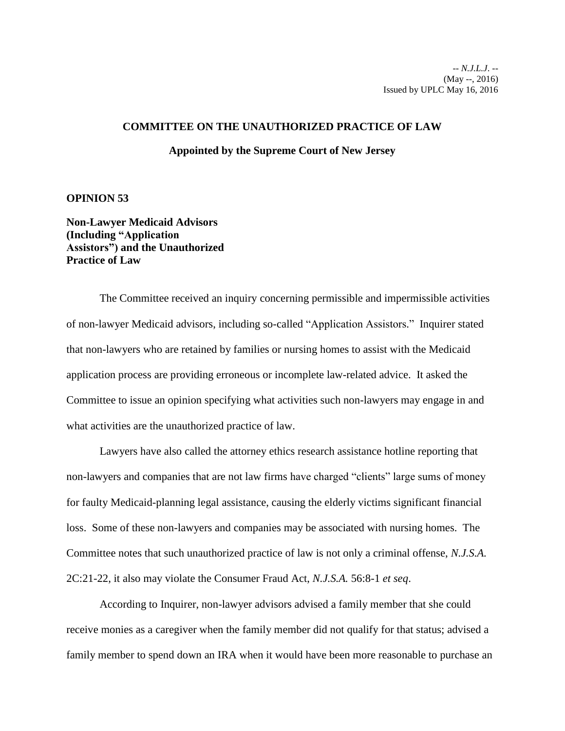## **COMMITTEE ON THE UNAUTHORIZED PRACTICE OF LAW**

## **Appointed by the Supreme Court of New Jersey**

## **OPINION 53**

**Non-Lawyer Medicaid Advisors (Including "Application Assistors") and the Unauthorized Practice of Law**

The Committee received an inquiry concerning permissible and impermissible activities of non-lawyer Medicaid advisors, including so-called "Application Assistors." Inquirer stated that non-lawyers who are retained by families or nursing homes to assist with the Medicaid application process are providing erroneous or incomplete law-related advice. It asked the Committee to issue an opinion specifying what activities such non-lawyers may engage in and what activities are the unauthorized practice of law.

Lawyers have also called the attorney ethics research assistance hotline reporting that non-lawyers and companies that are not law firms have charged "clients" large sums of money for faulty Medicaid-planning legal assistance, causing the elderly victims significant financial loss. Some of these non-lawyers and companies may be associated with nursing homes. The Committee notes that such unauthorized practice of law is not only a criminal offense, *N.J.S.A.*  2C:21-22, it also may violate the Consumer Fraud Act, *N.J.S.A.* 56:8-1 *et seq*.

According to Inquirer, non-lawyer advisors advised a family member that she could receive monies as a caregiver when the family member did not qualify for that status; advised a family member to spend down an IRA when it would have been more reasonable to purchase an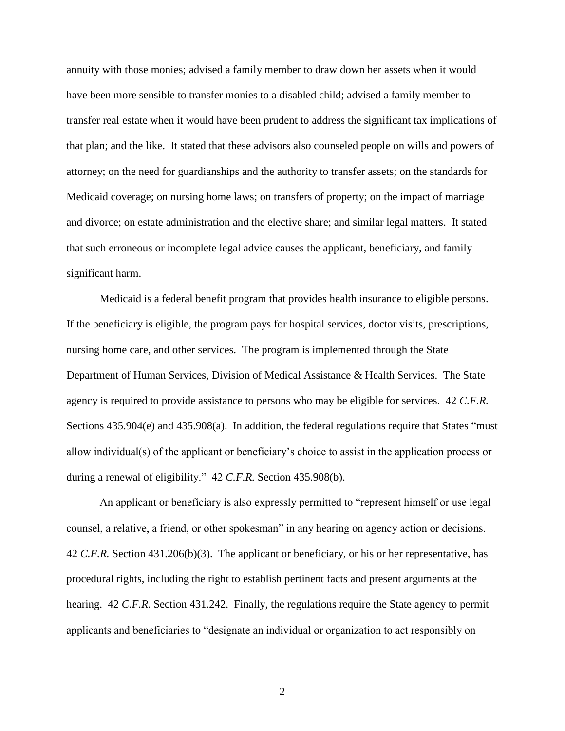annuity with those monies; advised a family member to draw down her assets when it would have been more sensible to transfer monies to a disabled child; advised a family member to transfer real estate when it would have been prudent to address the significant tax implications of that plan; and the like. It stated that these advisors also counseled people on wills and powers of attorney; on the need for guardianships and the authority to transfer assets; on the standards for Medicaid coverage; on nursing home laws; on transfers of property; on the impact of marriage and divorce; on estate administration and the elective share; and similar legal matters. It stated that such erroneous or incomplete legal advice causes the applicant, beneficiary, and family significant harm.

Medicaid is a federal benefit program that provides health insurance to eligible persons. If the beneficiary is eligible, the program pays for hospital services, doctor visits, prescriptions, nursing home care, and other services. The program is implemented through the State Department of Human Services, Division of Medical Assistance & Health Services. The State agency is required to provide assistance to persons who may be eligible for services. 42 *C.F.R.*  Sections 435.904(e) and 435.908(a). In addition, the federal regulations require that States "must allow individual(s) of the applicant or beneficiary's choice to assist in the application process or during a renewal of eligibility." 42 *C.F.R.* Section 435.908(b).

An applicant or beneficiary is also expressly permitted to "represent himself or use legal counsel, a relative, a friend, or other spokesman" in any hearing on agency action or decisions. 42 *C.F.R.* Section 431.206(b)(3). The applicant or beneficiary, or his or her representative, has procedural rights, including the right to establish pertinent facts and present arguments at the hearing. 42 *C.F.R.* Section 431.242. Finally, the regulations require the State agency to permit applicants and beneficiaries to "designate an individual or organization to act responsibly on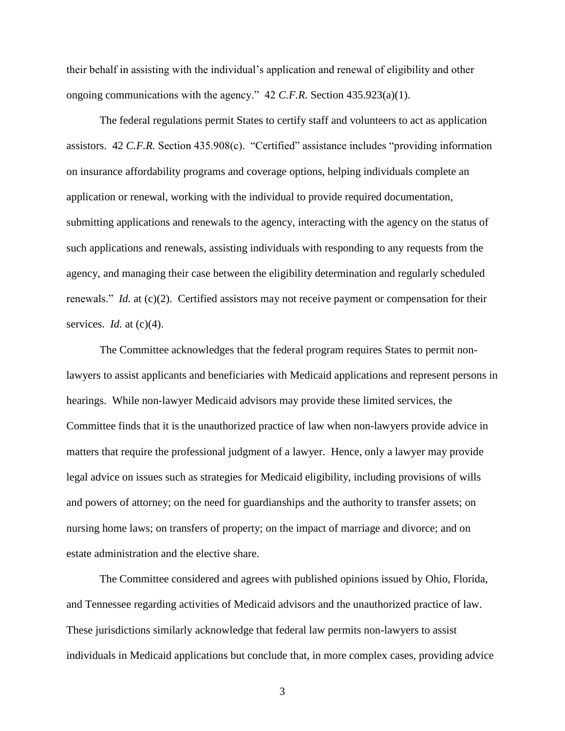their behalf in assisting with the individual's application and renewal of eligibility and other ongoing communications with the agency." 42 *C.F.R.* Section 435.923(a)(1).

The federal regulations permit States to certify staff and volunteers to act as application assistors. 42 *C.F.R.* Section 435.908(c). "Certified" assistance includes "providing information on insurance affordability programs and coverage options, helping individuals complete an application or renewal, working with the individual to provide required documentation, submitting applications and renewals to the agency, interacting with the agency on the status of such applications and renewals, assisting individuals with responding to any requests from the agency, and managing their case between the eligibility determination and regularly scheduled renewals." *Id.* at (c)(2). Certified assistors may not receive payment or compensation for their services. *Id.* at (c)(4).

The Committee acknowledges that the federal program requires States to permit nonlawyers to assist applicants and beneficiaries with Medicaid applications and represent persons in hearings. While non-lawyer Medicaid advisors may provide these limited services, the Committee finds that it is the unauthorized practice of law when non-lawyers provide advice in matters that require the professional judgment of a lawyer. Hence, only a lawyer may provide legal advice on issues such as strategies for Medicaid eligibility, including provisions of wills and powers of attorney; on the need for guardianships and the authority to transfer assets; on nursing home laws; on transfers of property; on the impact of marriage and divorce; and on estate administration and the elective share.

The Committee considered and agrees with published opinions issued by Ohio, Florida, and Tennessee regarding activities of Medicaid advisors and the unauthorized practice of law. These jurisdictions similarly acknowledge that federal law permits non-lawyers to assist individuals in Medicaid applications but conclude that, in more complex cases, providing advice

3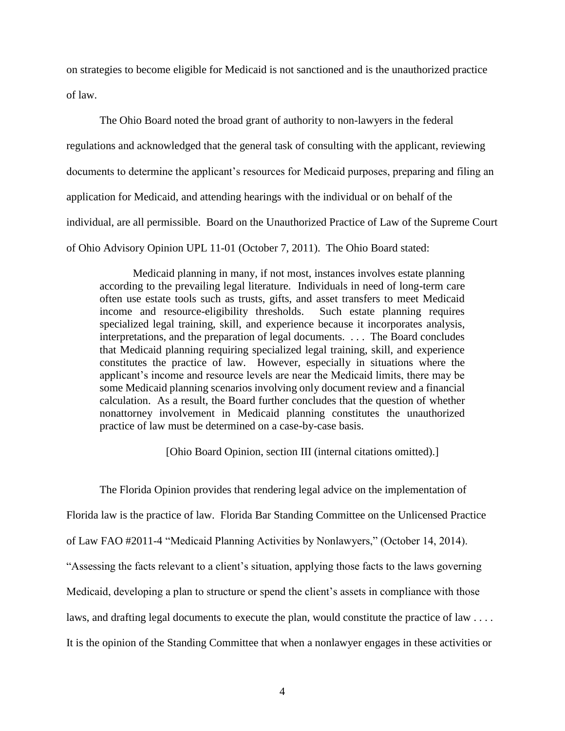on strategies to become eligible for Medicaid is not sanctioned and is the unauthorized practice of law.

The Ohio Board noted the broad grant of authority to non-lawyers in the federal regulations and acknowledged that the general task of consulting with the applicant, reviewing documents to determine the applicant's resources for Medicaid purposes, preparing and filing an application for Medicaid, and attending hearings with the individual or on behalf of the individual, are all permissible. Board on the Unauthorized Practice of Law of the Supreme Court of Ohio Advisory Opinion UPL 11-01 (October 7, 2011). The Ohio Board stated:

Medicaid planning in many, if not most, instances involves estate planning according to the prevailing legal literature. Individuals in need of long-term care often use estate tools such as trusts, gifts, and asset transfers to meet Medicaid income and resource-eligibility thresholds. Such estate planning requires specialized legal training, skill, and experience because it incorporates analysis, interpretations, and the preparation of legal documents. . . . The Board concludes that Medicaid planning requiring specialized legal training, skill, and experience constitutes the practice of law. However, especially in situations where the applicant's income and resource levels are near the Medicaid limits, there may be some Medicaid planning scenarios involving only document review and a financial calculation. As a result, the Board further concludes that the question of whether nonattorney involvement in Medicaid planning constitutes the unauthorized practice of law must be determined on a case-by-case basis.

[Ohio Board Opinion, section III (internal citations omitted).]

The Florida Opinion provides that rendering legal advice on the implementation of Florida law is the practice of law. Florida Bar Standing Committee on the Unlicensed Practice of Law FAO #2011-4 "Medicaid Planning Activities by Nonlawyers," (October 14, 2014). "Assessing the facts relevant to a client's situation, applying those facts to the laws governing Medicaid, developing a plan to structure or spend the client's assets in compliance with those laws, and drafting legal documents to execute the plan, would constitute the practice of law . . . . It is the opinion of the Standing Committee that when a nonlawyer engages in these activities or